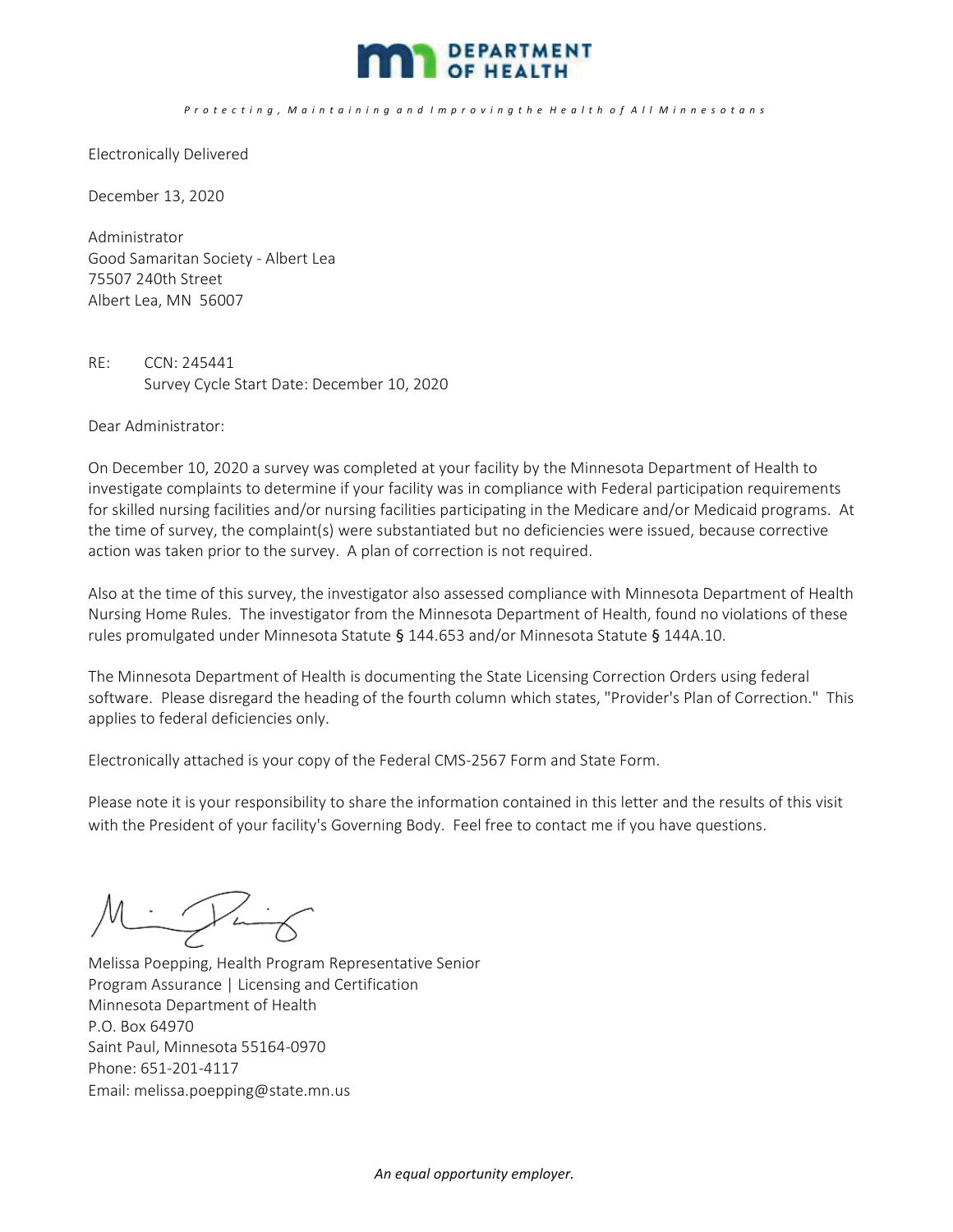

## P r o t e c t i n g , M a i n t a i n i n g a n d I m p r o v i n g t h e H e a l t h o f A l l M i n n e s o t a n s

Electronically Delivered

December 13, 2020

Administrator Good Samaritan Society - Albert Lea 75507 240th Street Albert Lea, MN 56007

RE: CCN: 245441 Survey Cycle Start Date: December 10, 2020

Dear Administrator:

On December 10, 2020 a survey was completed at your facility by the Minnesota Department of Health to investigate complaints to determine if your facility was in compliance with Federal participation requirements for skilled nursing facilities and/or nursing facilities participating in the Medicare and/or Medicaid programs. At the time of survey, the complaint(s) were substantiated but no deficiencies were issued, because corrective action was taken prior to the survey. A plan of correction is not required.

Also at the time of this survey, the investigator also assessed compliance with Minnesota Department of Health Nursing Home Rules. The investigator from the Minnesota Department of Health, found no violations of these rules promulgated under Minnesota Statute § 144.653 and/or Minnesota Statute § 144A.10.

The Minnesota Department of Health is documenting the State Licensing Correction Orders using federal software. Please disregard the heading of the fourth column which states, "Provider's Plan of Correction." This applies to federal deficiencies only.

Electronically attached is your copy of the Federal CMS-2567 Form and State Form.

Please note it is your responsibility to share the information contained in this letter and the results of this visit with the President of your facility's Governing Body. Feel free to contact me if you have questions.

 $M: 14K$ Ì

Melissa Poepping, Health Program Representative Senior Program Assurance | Licensing and Certification Minnesota Department of Health P.O. Box 64970 Saint Paul, Minnesota 55164-0970 Phone: 651-201-4117 Email: melissa.poepping@state.mn.us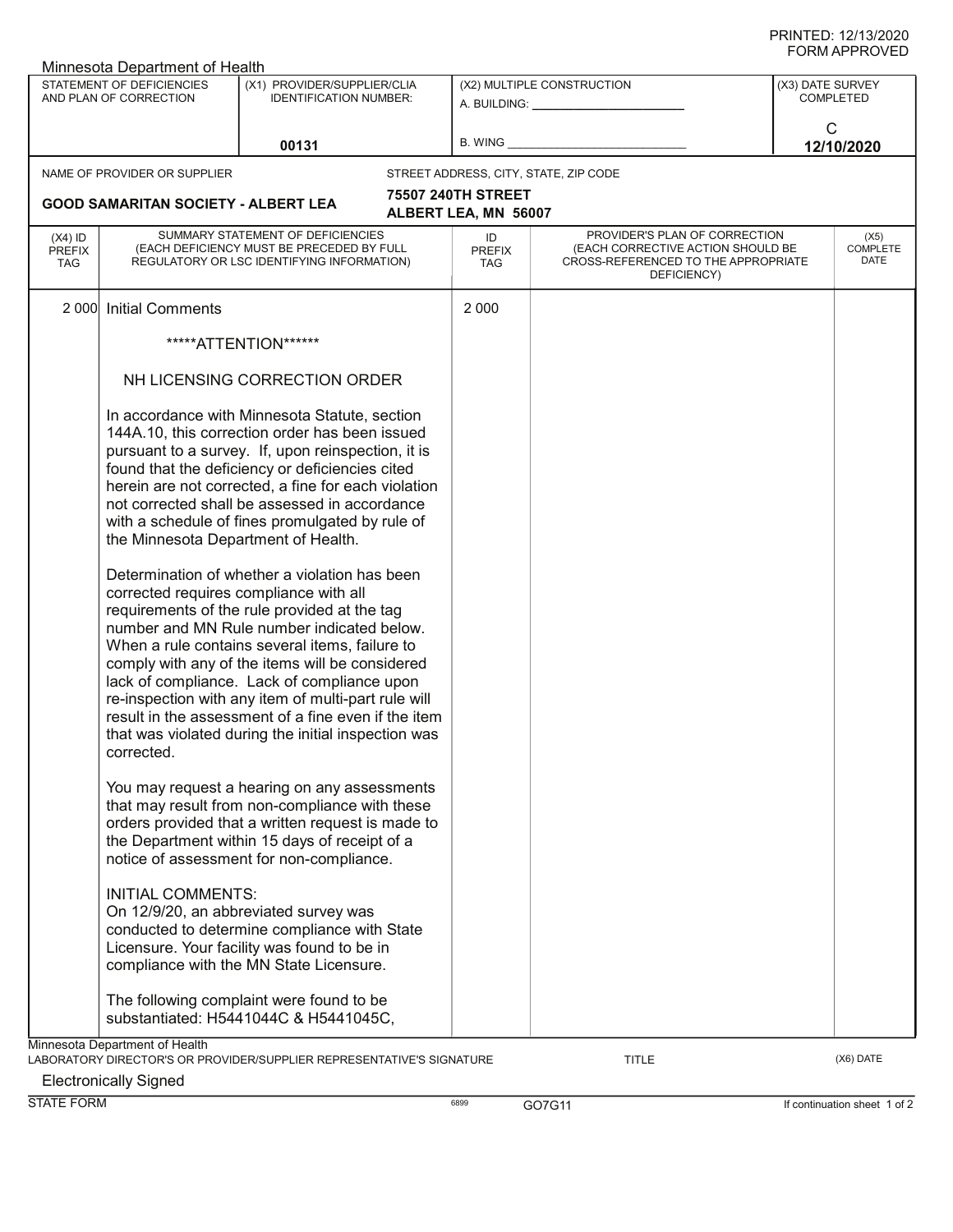| Minnesota Department of Health           |                                                                                             |                                                                                                                                                                                                                                                                                                                                                                                                                                                                                                                                                                                                                                                                                                                                                                                                                                             |                                   |                                                                                                                          |                  |                          |  |  |  |
|------------------------------------------|---------------------------------------------------------------------------------------------|---------------------------------------------------------------------------------------------------------------------------------------------------------------------------------------------------------------------------------------------------------------------------------------------------------------------------------------------------------------------------------------------------------------------------------------------------------------------------------------------------------------------------------------------------------------------------------------------------------------------------------------------------------------------------------------------------------------------------------------------------------------------------------------------------------------------------------------------|-----------------------------------|--------------------------------------------------------------------------------------------------------------------------|------------------|--------------------------|--|--|--|
| STATEMENT OF DEFICIENCIES                |                                                                                             | (X1) PROVIDER/SUPPLIER/CLIA                                                                                                                                                                                                                                                                                                                                                                                                                                                                                                                                                                                                                                                                                                                                                                                                                 |                                   | (X2) MULTIPLE CONSTRUCTION                                                                                               | (X3) DATE SURVEY |                          |  |  |  |
|                                          | AND PLAN OF CORRECTION                                                                      | <b>IDENTIFICATION NUMBER:</b>                                                                                                                                                                                                                                                                                                                                                                                                                                                                                                                                                                                                                                                                                                                                                                                                               |                                   |                                                                                                                          |                  | <b>COMPLETED</b>         |  |  |  |
|                                          |                                                                                             |                                                                                                                                                                                                                                                                                                                                                                                                                                                                                                                                                                                                                                                                                                                                                                                                                                             |                                   |                                                                                                                          | C                |                          |  |  |  |
|                                          |                                                                                             | 00131                                                                                                                                                                                                                                                                                                                                                                                                                                                                                                                                                                                                                                                                                                                                                                                                                                       | <b>B. WING</b>                    |                                                                                                                          |                  | 12/10/2020               |  |  |  |
|                                          | NAME OF PROVIDER OR SUPPLIER                                                                |                                                                                                                                                                                                                                                                                                                                                                                                                                                                                                                                                                                                                                                                                                                                                                                                                                             |                                   | STREET ADDRESS, CITY, STATE, ZIP CODE                                                                                    |                  |                          |  |  |  |
|                                          |                                                                                             |                                                                                                                                                                                                                                                                                                                                                                                                                                                                                                                                                                                                                                                                                                                                                                                                                                             | 75507 240TH STREET                |                                                                                                                          |                  |                          |  |  |  |
|                                          | <b>GOOD SAMARITAN SOCIETY - ALBERT LEA</b>                                                  |                                                                                                                                                                                                                                                                                                                                                                                                                                                                                                                                                                                                                                                                                                                                                                                                                                             | ALBERT LEA, MN 56007              |                                                                                                                          |                  |                          |  |  |  |
| $(X4)$ ID<br><b>PREFIX</b><br><b>TAG</b> |                                                                                             | SUMMARY STATEMENT OF DEFICIENCIES<br>(EACH DEFICIENCY MUST BE PRECEDED BY FULL<br>REGULATORY OR LSC IDENTIFYING INFORMATION)                                                                                                                                                                                                                                                                                                                                                                                                                                                                                                                                                                                                                                                                                                                | ID<br><b>PREFIX</b><br><b>TAG</b> | PROVIDER'S PLAN OF CORRECTION<br>(EACH CORRECTIVE ACTION SHOULD BE<br>CROSS-REFERENCED TO THE APPROPRIATE<br>DEFICIENCY) |                  | (X5)<br>COMPLETE<br>DATE |  |  |  |
| 2 0 0 0                                  | <b>Initial Comments</b>                                                                     |                                                                                                                                                                                                                                                                                                                                                                                                                                                                                                                                                                                                                                                                                                                                                                                                                                             | 2 0 0 0                           |                                                                                                                          |                  |                          |  |  |  |
|                                          |                                                                                             | *****ATTENTION******                                                                                                                                                                                                                                                                                                                                                                                                                                                                                                                                                                                                                                                                                                                                                                                                                        |                                   |                                                                                                                          |                  |                          |  |  |  |
|                                          |                                                                                             | NH LICENSING CORRECTION ORDER                                                                                                                                                                                                                                                                                                                                                                                                                                                                                                                                                                                                                                                                                                                                                                                                               |                                   |                                                                                                                          |                  |                          |  |  |  |
|                                          | the Minnesota Department of Health.<br>corrected requires compliance with all<br>corrected. | In accordance with Minnesota Statute, section<br>144A.10, this correction order has been issued<br>pursuant to a survey. If, upon reinspection, it is<br>found that the deficiency or deficiencies cited<br>herein are not corrected, a fine for each violation<br>not corrected shall be assessed in accordance<br>with a schedule of fines promulgated by rule of<br>Determination of whether a violation has been<br>requirements of the rule provided at the tag<br>number and MN Rule number indicated below.<br>When a rule contains several items, failure to<br>comply with any of the items will be considered<br>lack of compliance. Lack of compliance upon<br>re-inspection with any item of multi-part rule will<br>result in the assessment of a fine even if the item<br>that was violated during the initial inspection was |                                   |                                                                                                                          |                  |                          |  |  |  |
|                                          |                                                                                             | You may request a hearing on any assessments<br>that may result from non-compliance with these<br>orders provided that a written request is made to<br>the Department within 15 days of receipt of a<br>notice of assessment for non-compliance.                                                                                                                                                                                                                                                                                                                                                                                                                                                                                                                                                                                            |                                   |                                                                                                                          |                  |                          |  |  |  |
|                                          | <b>INITIAL COMMENTS:</b>                                                                    | On 12/9/20, an abbreviated survey was<br>conducted to determine compliance with State<br>Licensure. Your facility was found to be in<br>compliance with the MN State Licensure.                                                                                                                                                                                                                                                                                                                                                                                                                                                                                                                                                                                                                                                             |                                   |                                                                                                                          |                  |                          |  |  |  |
|                                          |                                                                                             | The following complaint were found to be<br>substantiated: H5441044C & H5441045C,                                                                                                                                                                                                                                                                                                                                                                                                                                                                                                                                                                                                                                                                                                                                                           |                                   |                                                                                                                          |                  |                          |  |  |  |
|                                          | Minnesota Department of Health                                                              | LABORATORY DIRECTOR'S OR PROVIDER/SUPPLIER REPRESENTATIVE'S SIGNATURE                                                                                                                                                                                                                                                                                                                                                                                                                                                                                                                                                                                                                                                                                                                                                                       |                                   | <b>TITLE</b>                                                                                                             |                  | (X6) DATE                |  |  |  |

Electronically Signed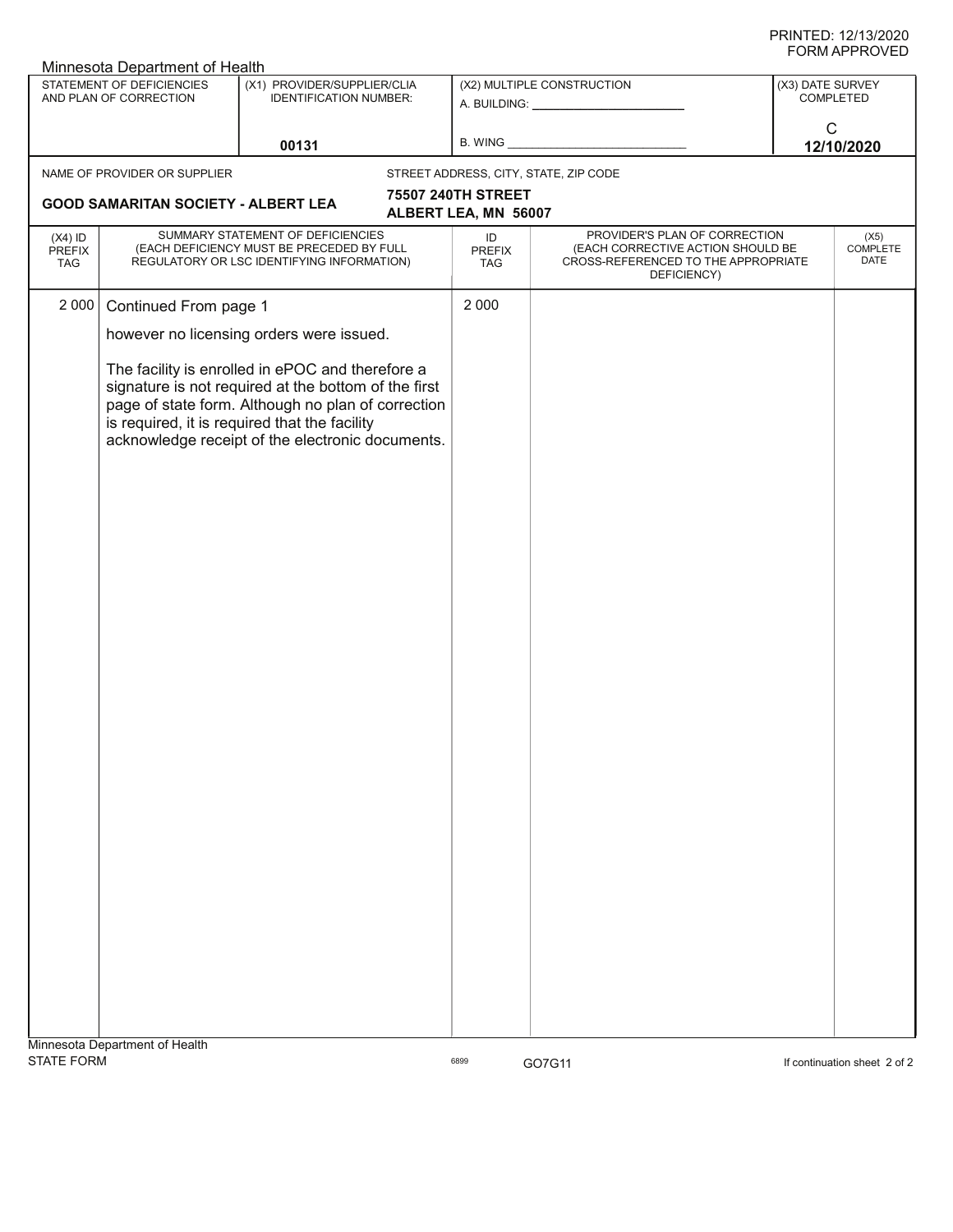| <b>Minnesota Department of Health</b>    |                                                                                                                                                                                                                                                                     |                                                                                                                              |  |                            |                                                                                                                          |                  |                          |  |
|------------------------------------------|---------------------------------------------------------------------------------------------------------------------------------------------------------------------------------------------------------------------------------------------------------------------|------------------------------------------------------------------------------------------------------------------------------|--|----------------------------|--------------------------------------------------------------------------------------------------------------------------|------------------|--------------------------|--|
|                                          | STATEMENT OF DEFICIENCIES<br>AND PLAN OF CORRECTION                                                                                                                                                                                                                 | (X1) PROVIDER/SUPPLIER/CLIA<br>IDENTIFICATION NUMBER:                                                                        |  |                            | (X2) MULTIPLE CONSTRUCTION<br>A. BUILDING: _________________                                                             | (X3) DATE SURVEY | COMPLETED                |  |
|                                          |                                                                                                                                                                                                                                                                     | 00131                                                                                                                        |  | B. WING                    |                                                                                                                          | ${\bf C}$        | 12/10/2020               |  |
|                                          | NAME OF PROVIDER OR SUPPLIER                                                                                                                                                                                                                                        |                                                                                                                              |  |                            | STREET ADDRESS, CITY, STATE, ZIP CODE                                                                                    |                  |                          |  |
|                                          |                                                                                                                                                                                                                                                                     |                                                                                                                              |  | 75507 240TH STREET         |                                                                                                                          |                  |                          |  |
|                                          | <b>GOOD SAMARITAN SOCIETY - ALBERT LEA</b>                                                                                                                                                                                                                          |                                                                                                                              |  | ALBERT LEA, MN 56007       |                                                                                                                          |                  |                          |  |
| $(X4)$ ID<br><b>PREFIX</b><br><b>TAG</b> |                                                                                                                                                                                                                                                                     | SUMMARY STATEMENT OF DEFICIENCIES<br>(EACH DEFICIENCY MUST BE PRECEDED BY FULL<br>REGULATORY OR LSC IDENTIFYING INFORMATION) |  | ID<br><b>PREFIX</b><br>TAG | PROVIDER'S PLAN OF CORRECTION<br>(EACH CORRECTIVE ACTION SHOULD BE<br>CROSS-REFERENCED TO THE APPROPRIATE<br>DEFICIENCY) |                  | (X5)<br>COMPLETE<br>DATE |  |
| 2 0 0 0                                  | Continued From page 1                                                                                                                                                                                                                                               |                                                                                                                              |  | 2 0 0 0                    |                                                                                                                          |                  |                          |  |
|                                          | however no licensing orders were issued.                                                                                                                                                                                                                            |                                                                                                                              |  |                            |                                                                                                                          |                  |                          |  |
|                                          | The facility is enrolled in ePOC and therefore a<br>signature is not required at the bottom of the first<br>page of state form. Although no plan of correction<br>is required, it is required that the facility<br>acknowledge receipt of the electronic documents. |                                                                                                                              |  |                            |                                                                                                                          |                  |                          |  |
|                                          |                                                                                                                                                                                                                                                                     |                                                                                                                              |  |                            |                                                                                                                          |                  |                          |  |
|                                          |                                                                                                                                                                                                                                                                     |                                                                                                                              |  |                            |                                                                                                                          |                  |                          |  |
|                                          | Minnesota Department of Health                                                                                                                                                                                                                                      |                                                                                                                              |  |                            |                                                                                                                          |                  |                          |  |